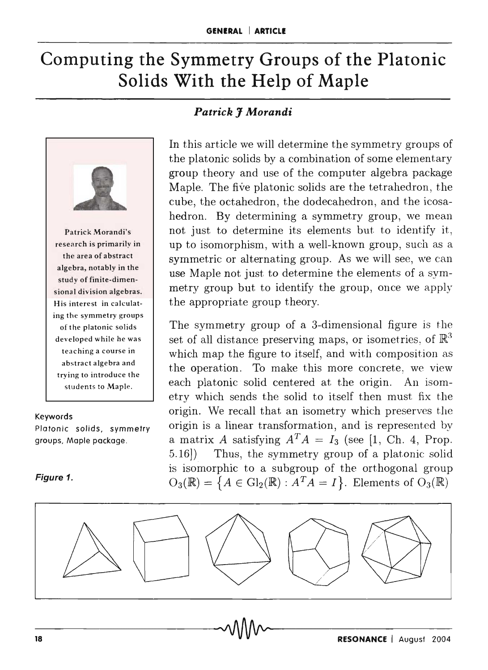# **Computing the Symmetry Groups of the Platonic Solids With the Help of Maple**



Patrick Morandi's research is primarily in the area of abstract algebra, notably in the study of finite-dimensional division algebras. His interest in calculating the symmetry groups of the platonic solids developed while he was teaching a course in abstract algebra and trying to introduce the students to Maple.

#### Keywords

Platonic solids, symmetry groups, Maple package.

#### **Figure 1.**

# *Patrick J Morandi*

In this article we will determine the symmetry groups of the platonic solids by a combination of some elementary group theory and use of the computer algebra package Maple. The five platonic solids are the tetrahedron, the cube, the octahedron, the dodecahedron, and the icosahedron. By determining a symmetry group, we mean not just to determine its elements but to identify it, up to isomorphism, with a well-known group, such as a symmetric or alternating group. As we will see, we can use Maple not just to determine the elements of a symmetry group but to identify the group, once we apply the appropriate group theory.

The symmetry group of a 3-dimensional figure is the set of all distance preserving maps, or isometries, of  $\mathbb{R}^3$ which map the figure to itself, and with composition as the operation. To make this more concrete, we view each platonic solid centered at the origin. An isometry which sends the solid to itself then must fix the origin. We recall that an isometry which preserves the origin is a linear transformation, and is represented by a matrix *A* satisfying  $A^T A = I_3$  (see [1, Ch. 4, Prop. 5.16]) Thus, the symmetry group of a platonic solid is isomorphic to a subgroup of the orthogonal group  $O_3(\mathbb{R}) = \{A \in Gl_2(\mathbb{R}) : A^T A = I\}.$  Elements of  $O_3(\mathbb{R})$ 

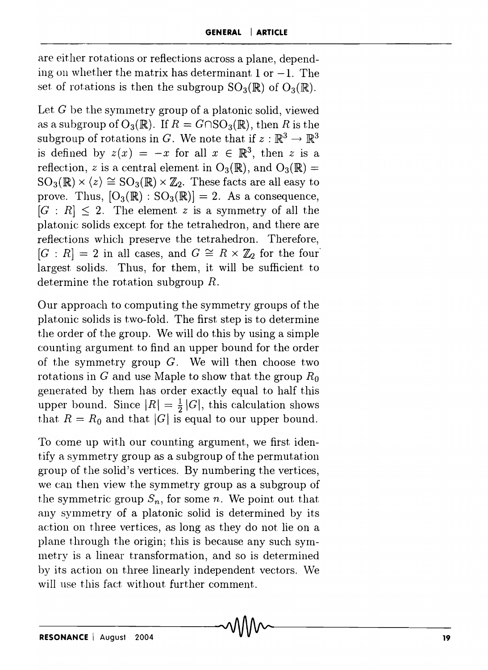are either rotations or reflections across a plane, depending on whether the matrix has determinant 1 or  $-1$ . The set of rotations is then the subgroup  $SO_3(\mathbb{R})$  of  $O_3(\mathbb{R})$ .

Let  $G$  be the symmetry group of a platonic solid, viewed as a subgroup of  $O_3(\mathbb{R})$ . If  $R = G \cap SO_3(\mathbb{R})$ , then R is the subgroup of rotations in G. We note that if  $z : \mathbb{R}^3 \to \mathbb{R}^3$ is defined by  $z(x) = -x$  for all  $x \in \mathbb{R}^3$ , then z is a reflection, *z* is a central element in  $O_3(\mathbb{R})$ , and  $O_3(\mathbb{R}) =$  $SO_3(\mathbb{R}) \times \langle z \rangle \cong SO_3(\mathbb{R}) \times \mathbb{Z}_2$ . These facts are all easy to prove. Thus,  $[O_3(\mathbb{R}) : SO_3(\mathbb{R})] = 2$ . As a consequence,  $[G: R] \leq 2$ . The element *z* is a symmetry of all the platonic solids except for the tetrahedron, and there are reflections which preserve the tetrahedron. Therefore,  $[G : R] = 2$  in all cases, and  $G \cong R \times \mathbb{Z}_2$  for the four largest solids. Thus, for them, it will be sufficient to determine the rotation subgroup *R.* 

Our approach to computing the symmetry groups of the platonic solids is two-fold. The first step is to determine the order of the group. We will do this by using a simple counting argument to find an upper bound for the order of the symmetry group  $G$ . We will then choose two rotations in G and use Maple to show that the group *Ro*  generated by them has order exactly equal to half this upper bound. Since  $|R| = \frac{1}{2}|G|$ , this calculation shows that  $R = R_0$  and that  $|G|$  is equal to our upper bound.

To come up with our counting argument, we first identify a symmetry group as a subgroup of the permutation group of the solid's vertices. By numbering the vertices, we can then view the symmetry group as a subgroup of the symmetric group  $S_n$ , for some *n*. We point out that any symmetry of a platonic solid is determined by its action on three vertices, as long as they do not lie on a plane through the origin; this is because any such symmetry is a linear transformation, and so is determined by its action on three linearly independent vectors. We will use this fact without further comment.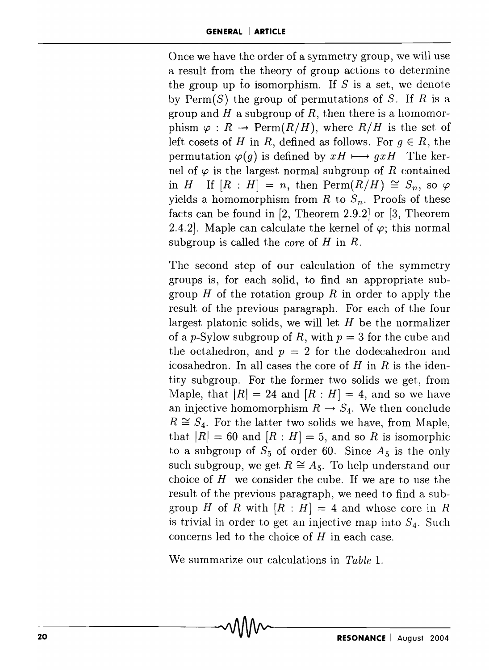Once we have the order of a symmetry group, we will use a result from the theory of group actions to detennine the group up to isomorphism. If  $S$  is a set, we denote by  $\text{Perm}(S)$  the group of permutations of S. If R is a group and H a subgroup of R, then there is a homomorphism  $\varphi : R \to \text{Perm}(R/H)$ , where  $R/H$  is the set of left cosets of H in R, defined as follows. For  $q \in R$ , the permutation  $\varphi(g)$  is defined by  $xH \longmapsto gxH$  The kernel of  $\varphi$  is the largest normal subgroup of *R* contained in *H* If  $[R : H] = n$ , then  $\text{Perm}(R/H) \cong S_n$ , so  $\varphi$ yields a homomorphism from *R* to  $S_n$ . Proofs of these facts can be found in [2, Theorem 2.9.2] or [3, Theorem 2.4.2]. Maple can calculate the kernel of  $\varphi$ ; this normal subgroup is called the *core* of H in R.

The second step of our calculation of the symmetry groups is, for each solid, to find an appropriate subgroup  $H$  of the rotation group  $R$  in order to apply the result of the previous paragraph. For each of the four largest platonic solids, we will let  $H$  be the normalizer of a *p-Sylow* subgroup of *R,* with *p* = 3 for the cube and the octahedron, and  $p = 2$  for the dodecahedron and icosahedron. In all cases the core of  $H$  in  $R$  is the identity subgroup. For the former two solids we get, from Maple, that  $|R| = 24$  and  $[R : H] = 4$ , and so we have an injective homomorphism  $R \rightarrow S_4$ . We then conclude  $R \cong S_4$ . For the latter two solids we have, from Maple, that  $|R| = 60$  and  $[R : H] = 5$ , and so R is isomorphic to a subgroup of  $S_5$  of order 60. Since  $A_5$  is the only such subgroup, we get  $R \cong A_5$ . To help understand our choice of  $H$  we consider the cube. If we are to use the result of the previous paragraph, we need to find a subgroup H of R with  $[R : H] = 4$  and whose core in R is trivial in order to get an injective map into  $S_4$ . Such concerns led to the choice of *H* in each case.

We summarize our calculations in *Table 1.*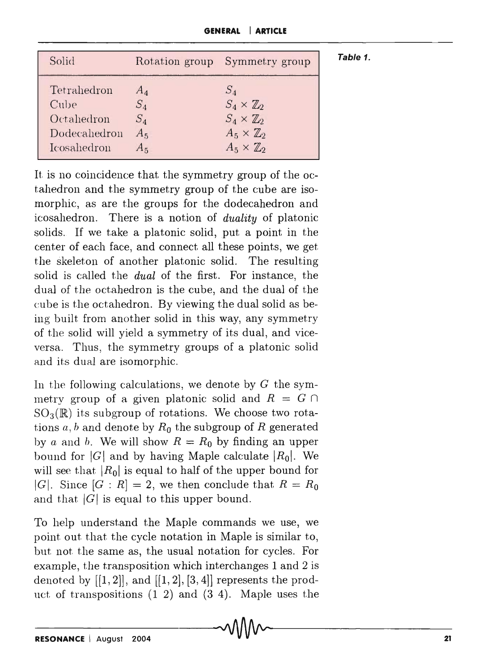**GENERAL I ARTICLE** 

**Table 1.** 

| Solid        |       | Rotation group Symmetry group |
|--------------|-------|-------------------------------|
| Tetrahedron  | $A_4$ | $S_A$                         |
| Cube         | $S_4$ | $S_4 \times \mathbb{Z}_2$     |
| Octahedron   | $S_4$ | $S_4 \times \mathbb{Z}_2$     |
| Dodecahedron | $A_5$ | $A_5 \times \mathbb{Z}_2$     |
| Icosahedron  | $A_5$ | $A_5 \times \mathbb{Z}_2$     |

It is no coincidence that the symmetry group of the octahedron and the symmetry group of the cube are isomorphic, as are the groups for the dodecahedron and icosahedron. There is a notion of *duality* of platonic solids. If we take a platonic solid, put a point in the center of each face, and connect all these points, we get the skeleton of another platonic solid. The resulting solid is called the *dual* of the first. For instance, the dual of the octahedron is the cube, and the dual of the cube is the octahedron. By viewing the dual solid as being built from another solid in this way, any symmetry of the solid will yield a symmetry of its dual, and viceversa. Thus, the symmetry groups of a platonic solid and its dual are isomorphic.

In the following calculations, we denote by *G* the symmetry group of a given platonic solid and  $R = G \cap$  $SO_3(\mathbb{R})$  its subgroup of rotations. We choose two rotations *a, h* and denote by *Ro* the subgroup of *R* generated by a and b. We will show  $R = R_0$  by finding an upper bound for  $|G|$  and by having Maple calculate  $|R_0|$ . We will see that  $|R_0|$  is equal to half of the upper bound for |G|. Since  $[G : R] = 2$ , we then conclude that  $R = R_0$ and that  $|G|$  is equal to this upper bound.

To help understand the Maple commands we use, we point out that the cycle notation in Maple is similar to, but not the same as, the usual notation for cycles. For example, the transposition which interchanges 1 and 2 is denoted by  $[[1,2]],$  and  $[[1,2],[3,4]]$  represents the product of transpositions (1 2) and (3 4). Maple uses the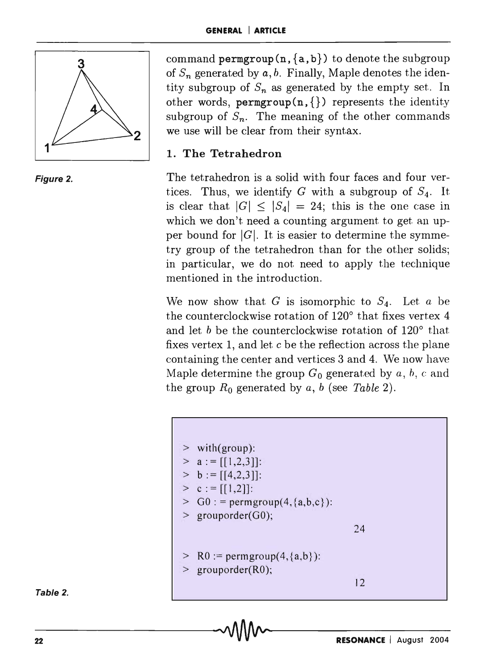

command **permgroup** $(n, \{a, b\})$  to denote the subgroup of  $S_n$  generated by  $a, b$ . Finally, Maple denotes the identity subgroup of  $S_n$  as generated by the empty set. In other words,  $\text{permgroup}(n, \{\})$  represents the identity subgroup of  $S_n$ . The meaning of the other commands we use will be clear from their syntax.

### 1. The Tetrahedron

The tetrahedron is a solid with four faces and four vertices. Thus, we identify G with a subgroup of  $S_4$ . It is clear that  $|G| \leq |S_4| = 24$ ; this is the one case in which we don't need a counting argument to get an upper bound for  $|G|$ . It is easier to determine the symmetry group of the tetrahedron than for the other solids; in particular, we do not need to apply the technique mentioned in the introduction.

We now show that  $G$  is isomorphic to  $S_4$ . Let  $a$  be the counterclockwise rotation of  $120^{\circ}$  that fixes vertex 4 and let  $b$  be the counterclockwise rotation of  $120^{\circ}$  that fixes vertex 1, and let c be the reflection across the plane containing the center and vertices 3 and 4. We now have Maple determine the group  $G_0$  generated by a, b, c and the group  $R_0$  generated by  $a, b$  (see Table 2).



Table 2.

Figure 2.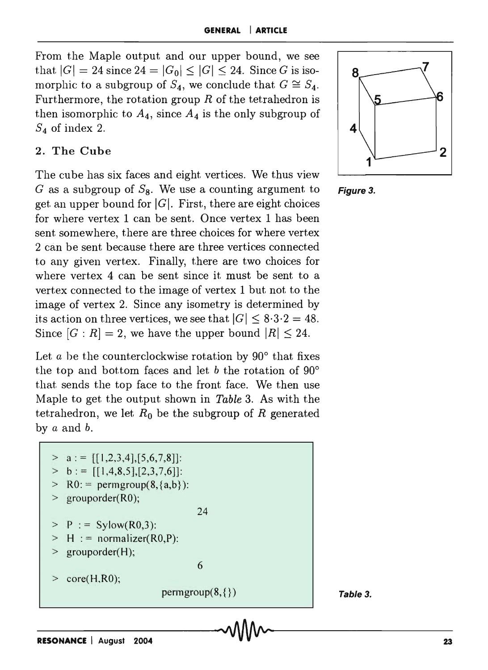From the Maple output and our upper bound, we see that  $|G| = 24$  since  $24 = |G_0| \leq |G| \leq 24$ . Since G is isomorphic to a subgroup of  $S_4$ , we conclude that  $G \cong S_4$ . Furthermore, the rotation group  $R$  of the tetrahedron is then isomorphic to  $A_4$ , since  $A_4$  is the only subgroup of  $S_4$  of index 2.  $\blacksquare$ 

#### 2. The Cube

The cube has six faces and eight vertices. We thus view G as a subgroup of  $S_8$ . We use a counting argument to **Figure 3.** get an upper bound for  $|G|$ . First, there are eight choices for where vertex 1 can be sent. Once vertex 1 has been sent somewhere, there are three choices for where vertex 2 can be sent because there are three vertices connected to any given vertex. Finally, there are two choices for where vertex 4 can be sent since it must be sent to a vertex connected to the image of vertex 1 but not to the image of vertex 2. Since any isometry is determined by its action on three vertices, we see that  $|G| \leq 8.3.2 = 48$ . Since  $[G : R] = 2$ , we have the upper bound  $|R| \leq 24$ .

Let *a* be the counterclockwise rotation by 90° that fixes the top and bottom faces and let b the rotation of  $90^{\circ}$ that sends the top face to the front face. We then use Maple to get the output shown in *Table* 3. As with the tetrahedron, we let  $R_0$  be the subgroup of  $R$  generated by *a* and b.

 $> a := [[1,2,3,4],[5,6,7,8]]$ :  $> b := [[1,4,8,5],[2,3,7,6]]$ :  $RO: = permgroup(8, {a,b})$ : grouporder(R0);  $P := Sylow(R0,3):$  $H :=$  normalizer(R0,P): grouporder(H);  $>$  core(H,R0); 24 6  $\text{permgroup}(8,\{\})$  **Table 3.** 



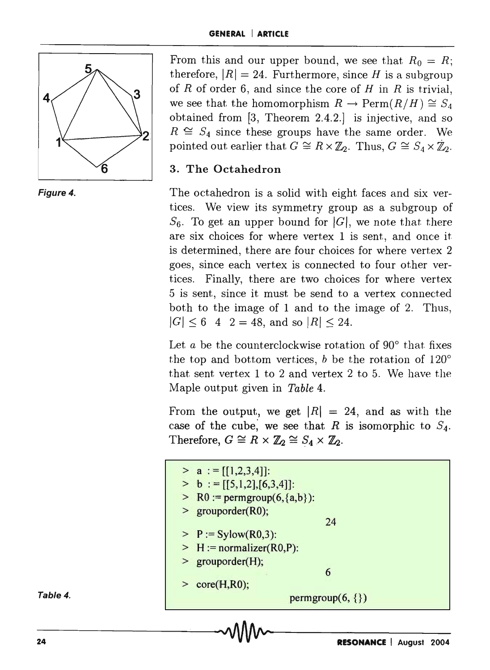

Figure 4.

From this and our upper bound, we see that  $R_0 = R$ ; therefore,  $|R| = 24$ . Furthermore, since H is a subgroup of *R* of order 6, and since the core of *H* in *R* is trivial, we see that the homomorphism  $R \to \text{Perm}(R/H) \cong S_4$ obtained from [3, Theorem 2.4.2.] is injective, and so  $R \cong S_4$  since these groups have the same order. We pointed out earlier that  $G \cong R \times \mathbb{Z}_2$ . Thus,  $G \cong S_4 \times \mathbb{Z}_2$ .

## 3. The Octahedron

The octahedron is a solid with eight faces and six vertices. We view its symmetry group as a subgroup of  $S_6$ . To get an upper bound for  $|G|$ , we note that there are six choices for where vertex 1 is sent, and once it is determined, there are four choices for where vertex 2 goes, since each vertex is connected to four other vertices. Finally, there are two choices for where vertex 5 is sent, since it must be send to a vertex connected both to the image of 1 and to the image of 2. Thus,  $|G| \leq 6$  4 2 = 48, and so  $|R| \leq 24$ .

Let a be the counterclockwise rotation of  $90^\circ$  that fixes the top and bottom vertices, *b* be the rotation of 120° that sent vertex 1 to 2 and vertex 2 to 5. We have the Maple output given in *Table 4.* 

From the output, we get  $|R| = 24$ , and as with the case of the cube, we see that *R* is isomorphic to  $S_4$ . Therefore,  $G \cong R \times \mathbb{Z}_2 \cong S_4 \times \mathbb{Z}_2$ .

| 24       | <b>RESONANCE   August 2004</b>                               |  |
|----------|--------------------------------------------------------------|--|
| Table 4. | permgroup $(6, \{\})$                                        |  |
|          | $>$ grouporder(H);<br>6<br>core(H,R0);                       |  |
|          | $\ge P := Sylow(R0,3):$<br>$\geq H :=$ normalizer(R0,P):     |  |
|          | $\geq$ R0 := permgroup(6, {a,b}):<br>> grouporder(R0);<br>24 |  |
|          | $> a := [[1,2,3,4]]$ :<br>$> b := [[5,1,2],[6,3,4]]$ :       |  |

#### Table 4.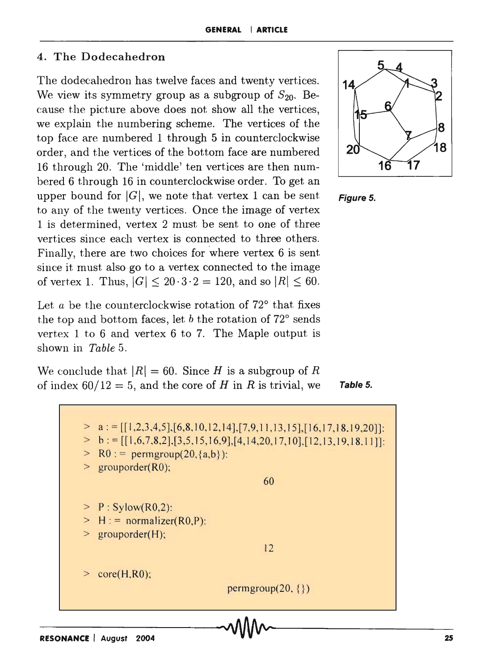#### 4. The Dodecahedron

The dodecahedron has twelve faces and twenty vertices. We view its symmetry group as a subgroup of  $S_{20}$ . Because the picture above does not show all the vertices, we explain the numbering scheme. The vertices of the top face are numbered 1 through 5 in counterclockwise order, and the vertices of the bottom face are numbered 16 through 20. The 'middle' ten vertices are then numbered 6 through 16 in counterclockwise order. To get an upper bound for  $|G|$ , we note that vertex 1 can be sent. to any of the twenty vertices. Once the image of vertex 1 is determined, vertex 2 must be sent to one of three vertices since each vertex is connected to three others. Finally, there are two choices for where vertex 6 is sent since it must also go to a vertex connected to the image of vertex 1. Thus,  $|G| \leq 20 \cdot 3 \cdot 2 = 120$ , and so  $|R| \leq 60$ .

Let *a* be the counterclockwise rotation of 72° that fixes the top and bottom faces, let *b* the rotation of 72° sends vertex 1 to 6 and vertex 6 to 7. The Maple output is shown in *Table* 5.

We conclude that  $|R| = 60$ . Since H is a subgroup of R of index  $60/12 = 5$ , and the core of H in R is trivial, we **Table 5.** 





 $> a := [[1,2,3,4,5], [6,8,10,12,14], [7,9,11,13,15], [16,17,18,19,20]]$ :  $\Rightarrow$  b: = [[1,6,7,8,2],[3,5,15,16,9],[4,14,20,17,10],[12,13,19,18,11]]:  $>$  R0 : = permgroup(20, {a,b}):  $grouporder(R0);$  $\geq P$ : Sylow(R0,2):  $> H$ : = normalizer(R0,P): > grouporder(H);  $\ge$  core(H,R0); 60 12 permgroup $(20, \{\})$